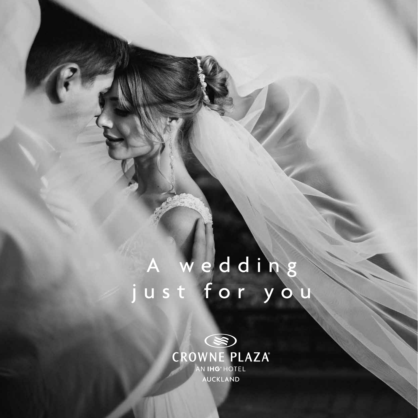## A wedding<br>ust for you

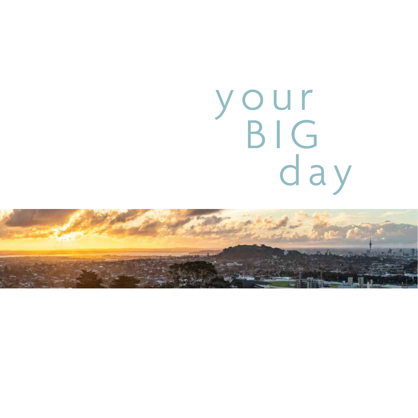# your<br>BIG<br>day

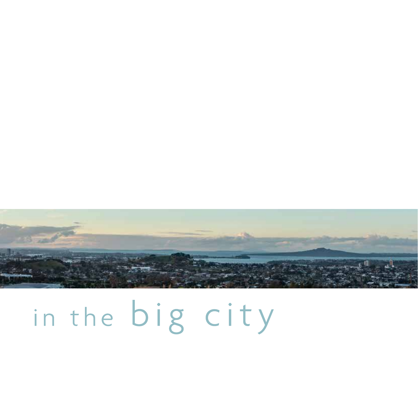

### in the big city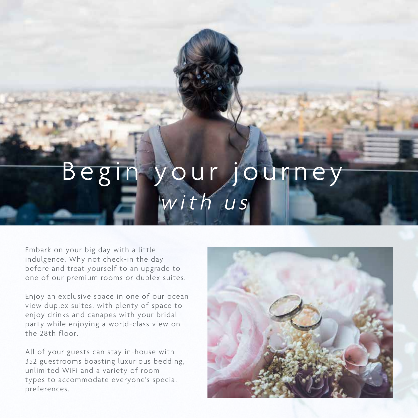#### your Beg ourr with us

Embark on your big day with a little indulgence. Why not check-in the day before and treat yourself to an upgrade to one of our premium rooms or duplex suites.

Enjoy an exclusive space in one of our ocean view duplex suites, with plenty of space to enjoy drinks and canapes with your bridal party while enjoying a world-class view on the 28th floor.

All of your guests can stay in-house with 352 guestrooms boasting luxurious bedding, unlimited WiFi and a variety of room types to accommodate everyone's special preferences.

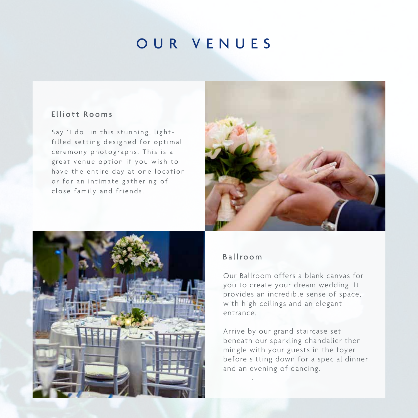#### OUR VENUES

#### Elliott Rooms

Say 'I do" in this stunning, lightfilled setting designed for optimal ceremony photographs. This is a great venue option if you wish to have the entire day at one location or for an intimate gathering of close family and friends.





Our Ballroom offers a blank canvas for you to create your dream wedding. It provides an incredible sense of space, with high ceilings and an elegant entrance.

Arrive by our grand staircase set beneath our sparkling chandalier then mingle with your guests in the foyer before sitting down for a special dinner and an evening of dancing.

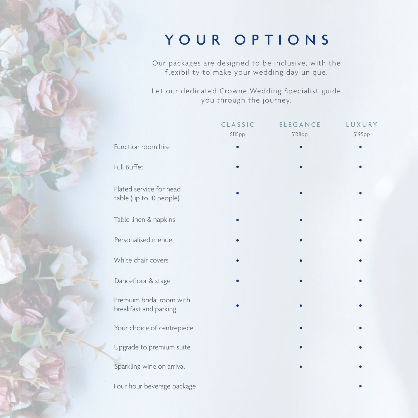#### YOUR OPTIONS

Our packages are designed to be inclusive, with the flexibility to make your wedding day unique.

Let our dedicated Crowne Wedding Specialist guide you through the journey.

|                                                    | CLASSIC | <b>ELEGANCE</b> | LUXURY  |
|----------------------------------------------------|---------|-----------------|---------|
|                                                    | \$115pp | \$138pp         | \$195pp |
| Function room hire                                 |         |                 |         |
| Full Buffet                                        |         |                 |         |
| Plated service for head<br>table (up to 10 people) |         |                 |         |
| Table linen & napkins                              |         |                 |         |
| Personalised menue                                 |         |                 |         |
| White chair covers                                 |         |                 |         |
| Dancefloor & stage                                 |         |                 |         |
| Premium bridal room with<br>breakfast and parking  |         |                 |         |
| Your choice of centrepiece                         |         |                 |         |
| Upgrade to premium suite                           |         |                 |         |
| Sparkling wine on arrival                          |         |                 |         |
| Four hour beverage package                         |         |                 |         |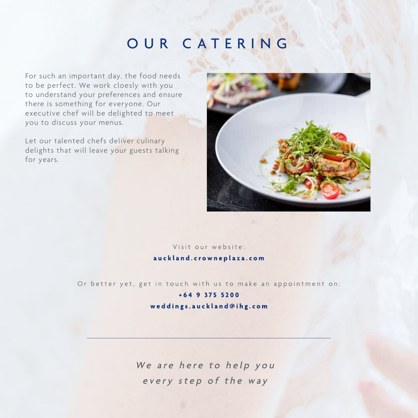#### OUR CATERING

For such an important day, the food needs to be perfect. We work cloesly with you to understand your preferences and ensure there is something for everyone. Our executive chef will be delighted to meet you to discuss your menus.

Let our talented chefs deliver culinary delights that will leave your guests talking for years.



#### Visit our website: auckland.crowneplaza.com

Or better yet, get in touch with us to make an appointment on:

#### +64 9 375 5200 weddings.auckland@ihg.com

We are here to help you every step of the way